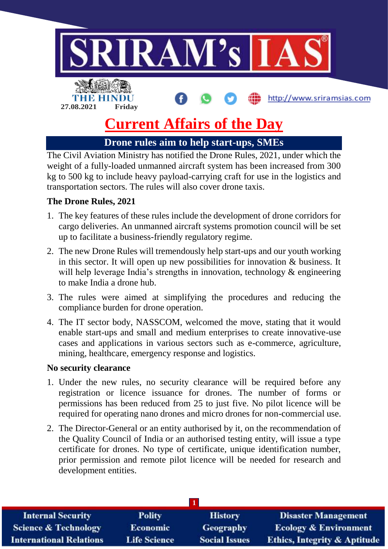

# **Current Affairs of the Day**

# **Drone rules aim to help start-ups, SMEs**

The Civil Aviation Ministry has notified the Drone Rules, 2021, under which the weight of a fully-loaded unmanned aircraft system has been increased from 300 kg to 500 kg to include heavy payload-carrying craft for use in the logistics and transportation sectors. The rules will also cover drone taxis.

## **The Drone Rules, 2021**

- 1. The key features of these rules include the development of drone corridors for cargo deliveries. An unmanned aircraft systems promotion council will be set up to facilitate a business-friendly regulatory regime.
- 2. The new Drone Rules will tremendously help start-ups and our youth working in this sector. It will open up new possibilities for innovation & business. It will help leverage India's strengths in innovation, technology & engineering to make India a drone hub.
- 3. The rules were aimed at simplifying the procedures and reducing the compliance burden for drone operation.
- 4. The IT sector body, NASSCOM, welcomed the move, stating that it would enable start-ups and small and medium enterprises to create innovative-use cases and applications in various sectors such as e-commerce, agriculture, mining, healthcare, emergency response and logistics.

#### **No security clearance**

- 1. Under the new rules, no security clearance will be required before any registration or licence issuance for drones. The number of forms or permissions has been reduced from 25 to just five. No pilot licence will be required for operating nano drones and micro drones for non-commercial use.
- 2. The Director-General or an entity authorised by it, on the recommendation of the Quality Council of India or an authorised testing entity, will issue a type certificate for drones. No type of certificate, unique identification number, prior permission and remote pilot licence will be needed for research and development entities.

| <b>Internal Security</b>        | <b>Polity</b>       | <b>History</b>       | <b>Disaster Management</b>              |  |  |  |
|---------------------------------|---------------------|----------------------|-----------------------------------------|--|--|--|
| <b>Science &amp; Technology</b> | <b>Economic</b>     | <b>Geography</b>     | <b>Ecology &amp; Environment</b>        |  |  |  |
| <b>International Relations</b>  | <b>Life Science</b> | <b>Social Issues</b> | <b>Ethics, Integrity &amp; Aptitude</b> |  |  |  |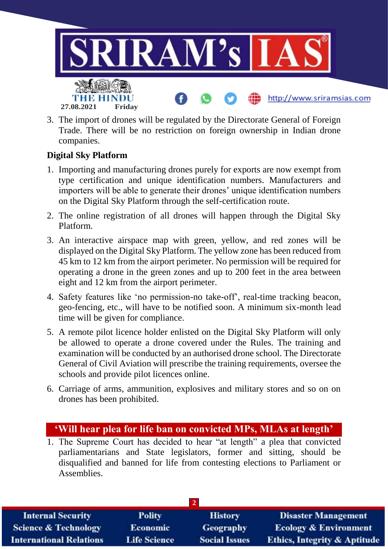

3. The import of drones will be regulated by the Directorate General of Foreign Trade. There will be no restriction on foreign ownership in Indian drone companies.

## **Digital Sky Platform**

- 1. Importing and manufacturing drones purely for exports are now exempt from type certification and unique identification numbers. Manufacturers and importers will be able to generate their drones' unique identification numbers on the Digital Sky Platform through the self-certification route.
- 2. The online registration of all drones will happen through the Digital Sky Platform.
- 3. An interactive airspace map with green, yellow, and red zones will be displayed on the Digital Sky Platform. The yellow zone has been reduced from 45 km to 12 km from the airport perimeter. No permission will be required for operating a drone in the green zones and up to 200 feet in the area between eight and 12 km from the airport perimeter.
- 4. Safety features like 'no permission-no take-off', real-time tracking beacon, geo-fencing, etc., will have to be notified soon. A minimum six-month lead time will be given for compliance.
- 5. A remote pilot licence holder enlisted on the Digital Sky Platform will only be allowed to operate a drone covered under the Rules. The training and examination will be conducted by an authorised drone school. The Directorate General of Civil Aviation will prescribe the training requirements, oversee the schools and provide pilot licences online.
- 6. Carriage of arms, ammunition, explosives and military stores and so on on drones has been prohibited.

## **'Will hear plea for life ban on convicted MPs, MLAs at length'**

1. The Supreme Court has decided to hear "at length" a plea that convicted parliamentarians and State legislators, former and sitting, should be disqualified and banned for life from contesting elections to Parliament or Assemblies.

| <b>Internal Security</b>        | <b>Polity</b>       | <b>History</b>       | <b>Disaster Management</b>              |  |  |  |
|---------------------------------|---------------------|----------------------|-----------------------------------------|--|--|--|
| <b>Science &amp; Technology</b> | <b>Economic</b>     | <b>Geography</b>     | <b>Ecology &amp; Environment</b>        |  |  |  |
| <b>International Relations</b>  | <b>Life Science</b> | <b>Social Issues</b> | <b>Ethics, Integrity &amp; Aptitude</b> |  |  |  |